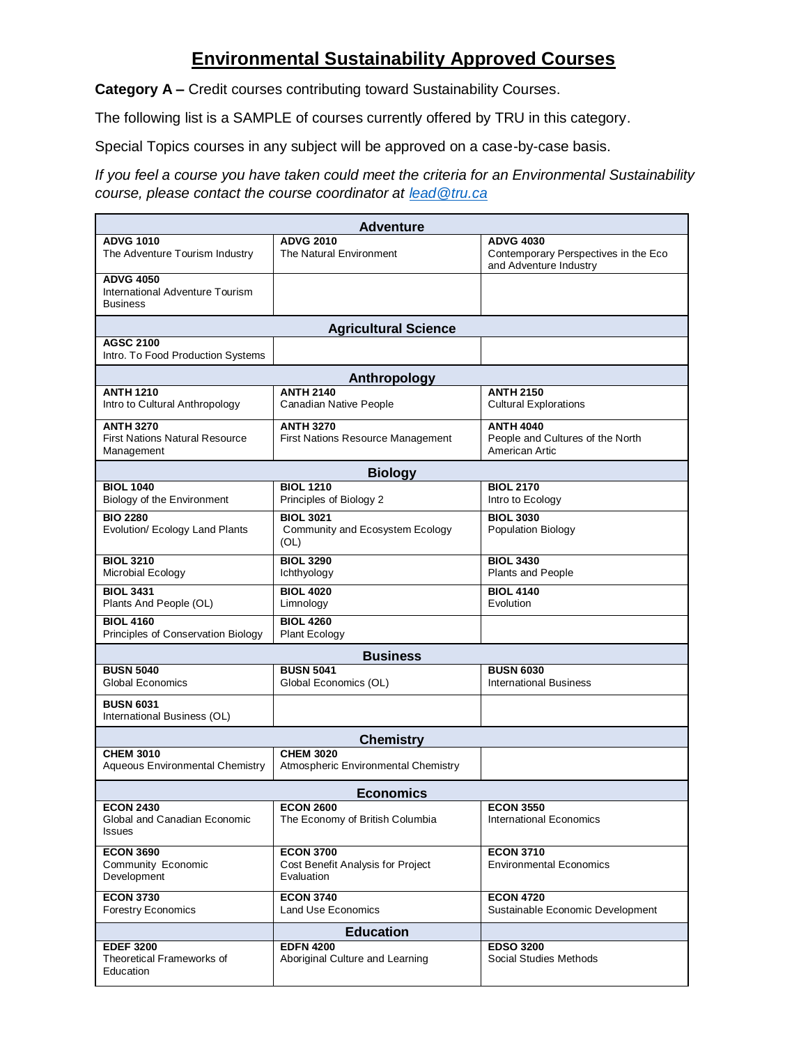## **Environmental Sustainability Approved Courses**

**Category A –** Credit courses contributing toward Sustainability Courses.

The following list is a SAMPLE of courses currently offered by TRU in this category.

Special Topics courses in any subject will be approved on a case-by-case basis.

*If you feel a course you have taken could meet the criteria for an Environmental Sustainability course, please contact the course coordinator at [lead@tru.ca](mailto:lead@tru.ca)*

| <b>Adventure</b>                                                        |                                                                     |                                                                        |  |  |
|-------------------------------------------------------------------------|---------------------------------------------------------------------|------------------------------------------------------------------------|--|--|
| <b>ADVG 1010</b>                                                        | <b>ADVG 2010</b>                                                    | <b>ADVG 4030</b>                                                       |  |  |
| The Adventure Tourism Industry                                          | The Natural Environment                                             | Contemporary Perspectives in the Eco<br>and Adventure Industry         |  |  |
| <b>ADVG 4050</b><br>International Adventure Tourism<br><b>Business</b>  |                                                                     |                                                                        |  |  |
|                                                                         | <b>Agricultural Science</b>                                         |                                                                        |  |  |
| <b>AGSC 2100</b><br>Intro. To Food Production Systems                   |                                                                     |                                                                        |  |  |
|                                                                         | Anthropology                                                        |                                                                        |  |  |
| <b>ANTH 1210</b><br>Intro to Cultural Anthropology                      | <b>ANTH 2140</b><br><b>Canadian Native People</b>                   | <b>ANTH 2150</b><br><b>Cultural Explorations</b>                       |  |  |
| <b>ANTH 3270</b><br><b>First Nations Natural Resource</b><br>Management | <b>ANTH 3270</b><br>First Nations Resource Management               | <b>ANTH 4040</b><br>People and Cultures of the North<br>American Artic |  |  |
| <b>Biology</b>                                                          |                                                                     |                                                                        |  |  |
| <b>BIOL 1040</b><br>Biology of the Environment                          | <b>BIOL 1210</b><br>Principles of Biology 2                         | <b>BIOL 2170</b><br>Intro to Ecology                                   |  |  |
| <b>BIO 2280</b><br>Evolution/ Ecology Land Plants                       | <b>BIOL 3021</b><br>Community and Ecosystem Ecology<br>(OL)         | <b>BIOL 3030</b><br><b>Population Biology</b>                          |  |  |
| <b>BIOL 3210</b><br>Microbial Ecology                                   | <b>BIOL 3290</b><br>Ichthyology                                     | <b>BIOL 3430</b><br>Plants and People                                  |  |  |
| <b>BIOL 3431</b><br>Plants And People (OL)                              | <b>BIOL 4020</b><br>Limnology                                       | <b>BIOL 4140</b><br>Evolution                                          |  |  |
| <b>BIOL 4160</b><br>Principles of Conservation Biology                  | <b>BIOL 4260</b><br>Plant Ecology                                   |                                                                        |  |  |
|                                                                         | <b>Business</b>                                                     |                                                                        |  |  |
| <b>BUSN 5040</b><br>Global Economics                                    | <b>BUSN 5041</b><br>Global Economics (OL)                           | <b>BUSN 6030</b><br><b>International Business</b>                      |  |  |
| <b>BUSN 6031</b><br>International Business (OL)                         |                                                                     |                                                                        |  |  |
| <b>Chemistry</b>                                                        |                                                                     |                                                                        |  |  |
| <b>CHEM 3010</b><br><b>Aqueous Environmental Chemistry</b>              | <b>CHEM 3020</b><br>Atmospheric Environmental Chemistry             |                                                                        |  |  |
| <b>Economics</b>                                                        |                                                                     |                                                                        |  |  |
| <b>ECON 2430</b><br>Global and Canadian Economic<br><b>Issues</b>       | <b>ECON 2600</b><br>The Economy of British Columbia                 | <b>ECON 3550</b><br><b>International Economics</b>                     |  |  |
| <b>ECON 3690</b><br>Community Economic<br>Development                   | <b>ECON 3700</b><br>Cost Benefit Analysis for Project<br>Evaluation | <b>ECON 3710</b><br><b>Environmental Economics</b>                     |  |  |
| <b>ECON 3730</b><br><b>Forestry Economics</b>                           | <b>ECON 3740</b><br><b>Land Use Economics</b>                       | <b>ECON 4720</b><br>Sustainable Economic Development                   |  |  |
| <b>Education</b>                                                        |                                                                     |                                                                        |  |  |
| <b>EDEF 3200</b><br>Theoretical Frameworks of<br>Education              | <b>EDFN 4200</b><br>Aboriginal Culture and Learning                 | <b>EDSO 3200</b><br><b>Social Studies Methods</b>                      |  |  |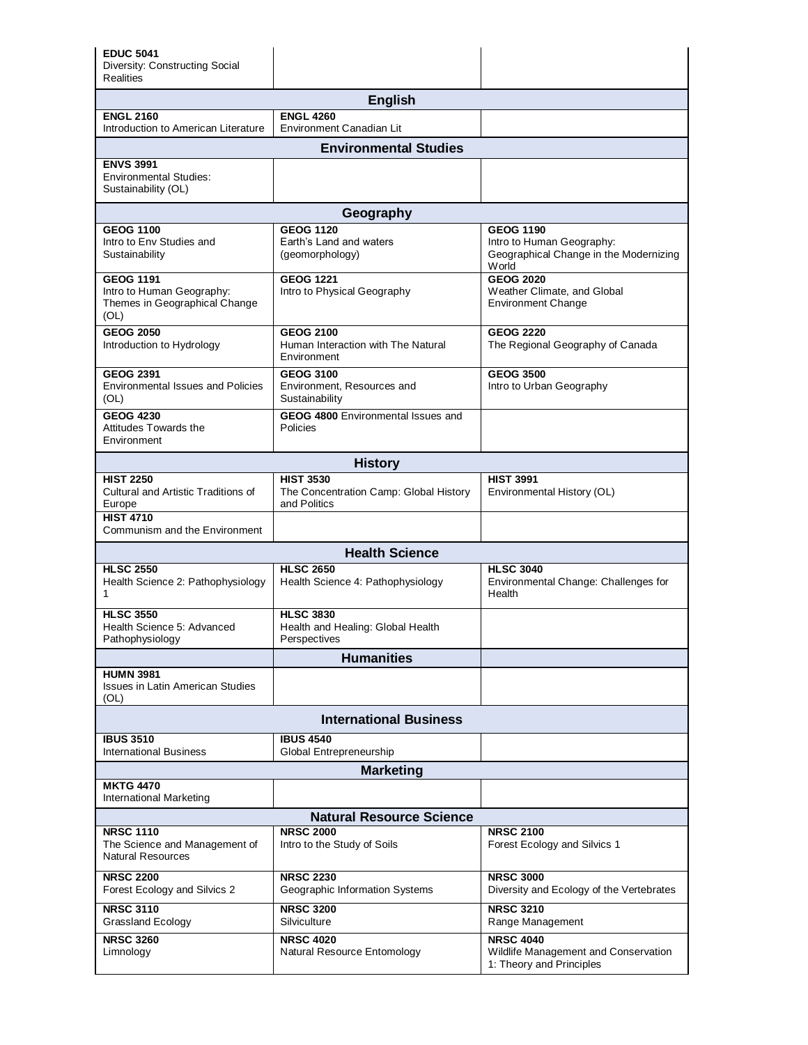| <b>EDUC 5041</b><br>Diversity: Constructing Social<br><b>Realities</b>                 |                                                                            |                                                                                      |  |  |
|----------------------------------------------------------------------------------------|----------------------------------------------------------------------------|--------------------------------------------------------------------------------------|--|--|
|                                                                                        | <b>English</b>                                                             |                                                                                      |  |  |
| <b>ENGL 2160</b><br>Introduction to American Literature                                | <b>ENGL 4260</b><br>Environment Canadian Lit                               |                                                                                      |  |  |
| <b>Environmental Studies</b>                                                           |                                                                            |                                                                                      |  |  |
| <b>ENVS 3991</b><br><b>Environmental Studies:</b><br>Sustainability (OL)               |                                                                            |                                                                                      |  |  |
|                                                                                        | Geography                                                                  |                                                                                      |  |  |
| <b>GEOG 1100</b>                                                                       | <b>GEOG 1120</b>                                                           | <b>GEOG 1190</b>                                                                     |  |  |
| Intro to Env Studies and<br>Sustainability                                             | Earth's Land and waters<br>(geomorphology)                                 | Intro to Human Geography:<br>Geographical Change in the Modernizing<br><b>W</b> orld |  |  |
| <b>GEOG 1191</b><br>Intro to Human Geography:<br>Themes in Geographical Change<br>(OL) | <b>GEOG 1221</b><br>Intro to Physical Geography                            | <b>GEOG 2020</b><br>Weather Climate, and Global<br><b>Environment Change</b>         |  |  |
| <b>GEOG 2050</b><br>Introduction to Hydrology                                          | <b>GEOG 2100</b><br>Human Interaction with The Natural<br>Environment      | <b>GEOG 2220</b><br>The Regional Geography of Canada                                 |  |  |
| <b>GEOG 2391</b><br><b>Environmental Issues and Policies</b><br>(OL)                   | <b>GEOG 3100</b><br>Environment, Resources and<br>Sustainability           | <b>GEOG 3500</b><br>Intro to Urban Geography                                         |  |  |
| <b>GEOG 4230</b><br><b>Attitudes Towards the</b><br>Environment                        | <b>GEOG 4800 Environmental Issues and</b><br>Policies                      |                                                                                      |  |  |
|                                                                                        | <b>History</b>                                                             |                                                                                      |  |  |
| <b>HIST 2250</b><br>Cultural and Artistic Traditions of<br>Europe                      | <b>HIST 3530</b><br>The Concentration Camp: Global History<br>and Politics | <b>HIST 3991</b><br>Environmental History (OL)                                       |  |  |
| <b>HIST 4710</b><br>Communism and the Environment                                      |                                                                            |                                                                                      |  |  |
|                                                                                        | <b>Health Science</b>                                                      |                                                                                      |  |  |
| <b>HLSC 2550</b><br>Health Science 2: Pathophysiology<br>1                             | <b>HLSC 2650</b><br>Health Science 4: Pathophysiology                      | <b>HLSC 3040</b><br>Environmental Change: Challenges for<br>Health                   |  |  |
| <b>HLSC 3550</b><br>Health Science 5: Advanced<br>Pathophysiology                      | <b>HLSC 3830</b><br>Health and Healing: Global Health<br>Perspectives      |                                                                                      |  |  |
|                                                                                        | <b>Humanities</b>                                                          |                                                                                      |  |  |
| <b>HUMN 3981</b><br><b>Issues in Latin American Studies</b><br>(OL)                    |                                                                            |                                                                                      |  |  |
| <b>International Business</b>                                                          |                                                                            |                                                                                      |  |  |
| <b>IBUS 3510</b><br><b>International Business</b>                                      | <b>IBUS 4540</b><br>Global Entrepreneurship                                |                                                                                      |  |  |
| <b>Marketing</b>                                                                       |                                                                            |                                                                                      |  |  |
| <b>MKTG 4470</b><br>International Marketing                                            |                                                                            |                                                                                      |  |  |
| <b>Natural Resource Science</b>                                                        |                                                                            |                                                                                      |  |  |
| <b>NRSC 1110</b><br>The Science and Management of<br><b>Natural Resources</b>          | <b>NRSC 2000</b><br>Intro to the Study of Soils                            | <b>NRSC 2100</b><br>Forest Ecology and Silvics 1                                     |  |  |
| <b>NRSC 2200</b><br>Forest Ecology and Silvics 2                                       | <b>NRSC 2230</b><br>Geographic Information Systems                         | <b>NRSC 3000</b><br>Diversity and Ecology of the Vertebrates                         |  |  |
| <b>NRSC 3110</b><br>Grassland Ecology                                                  | <b>NRSC 3200</b><br>Silviculture                                           | <b>NRSC 3210</b><br>Range Management                                                 |  |  |
| <b>NRSC 3260</b><br>Limnology                                                          | <b>NRSC 4020</b><br>Natural Resource Entomology                            | <b>NRSC 4040</b><br>Wildlife Management and Conservation<br>1: Theory and Principles |  |  |